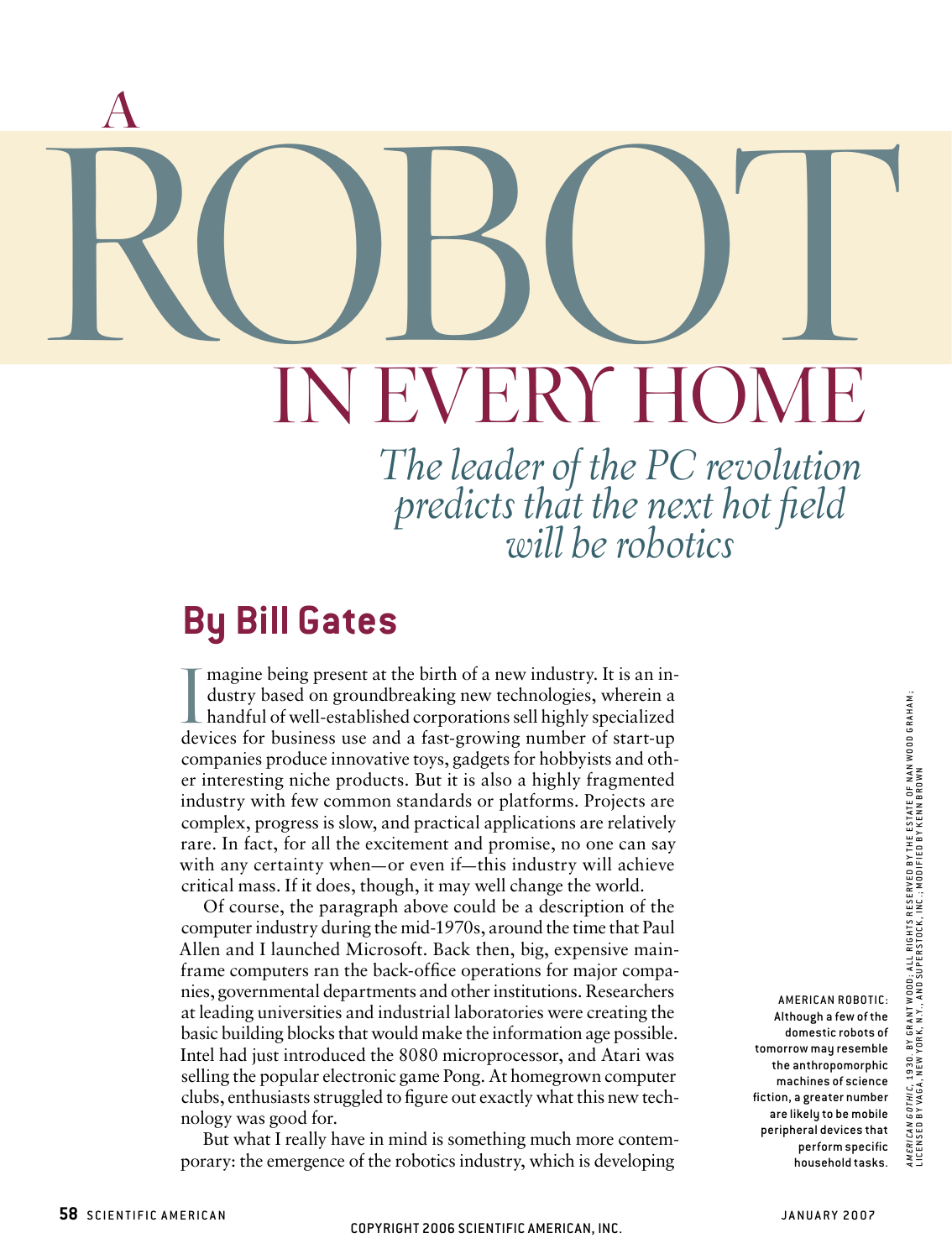# ROBOT A

INEVERY HOME

*The leader of the PC revolution predicts that the next hot field will be robotics*

# **By Bill Gates**

 $\prod_{\text{dev}}$ magine being present at the birth of a new industry. It is an industry based on groundbreaking new technologies, wherein a handful of well-established corporations sell highly specialized devices for business use and a fast-growing number of start-up companies produce innovative toys, gadgets for hobbyists and other interesting niche products. But it is also a highly fragmented industry with few common standards or platforms. Projects are complex, progress is slow, and practical applications are relatively rare. In fact, for all the excitement and promise, no one can say with any certainty when—or even if—this industry will achieve critical mass. If it does, though, it may well change the world.

Of course, the paragraph above could be a description of the computer industry during the mid-1970s, around the time that Paul Allen and I launched Microsoft. Back then, big, expensive mainframe computers ran the back-office operations for major companies, governmental departments and other institutions. Researchers at leading universities and industrial laboratories were creating the basic building blocks that would make the information age possible. Intel had just introduced the 8080 microprocessor, and Atari was selling the popular electronic game Pong. At homegrown computer clubs, enthusiasts struggled to figure out exactly what this new technology was good for.

But what I really have in mind is something much more contemporary: the emergence of the robotics industry, which is developing

AMERIC AN ROBOTIC: Although a few of the domestic robots of tomorrow may resemble the anthropomorphic machines of science fiction, a greater number are likely to be mobile peripheral devices that perform specific household tasks.

AM*ERICAN GOTHIC,* 1930. BY GRANT WOOD; ALL RIGHTS RESERVED BY THE ESTATE OF NAN WOOD GRAHAM;

A MERICAN GOTHIC, 1930. BY GRANT WOOD, ALL RIGHTS RESERVED BY THE ESTATE OF NAN WOOD GRAHAN;<br>LICENSED BY VAGA, NEW YORK, N.Y., AND SUPERSTOCK, INC.; MODIFIED BY KENN BROWN

LICENSED BY VAGA, NEW YORK, N.Y., AND SUPERSTOCK, INC.; MODIFIED BY KENN BROWN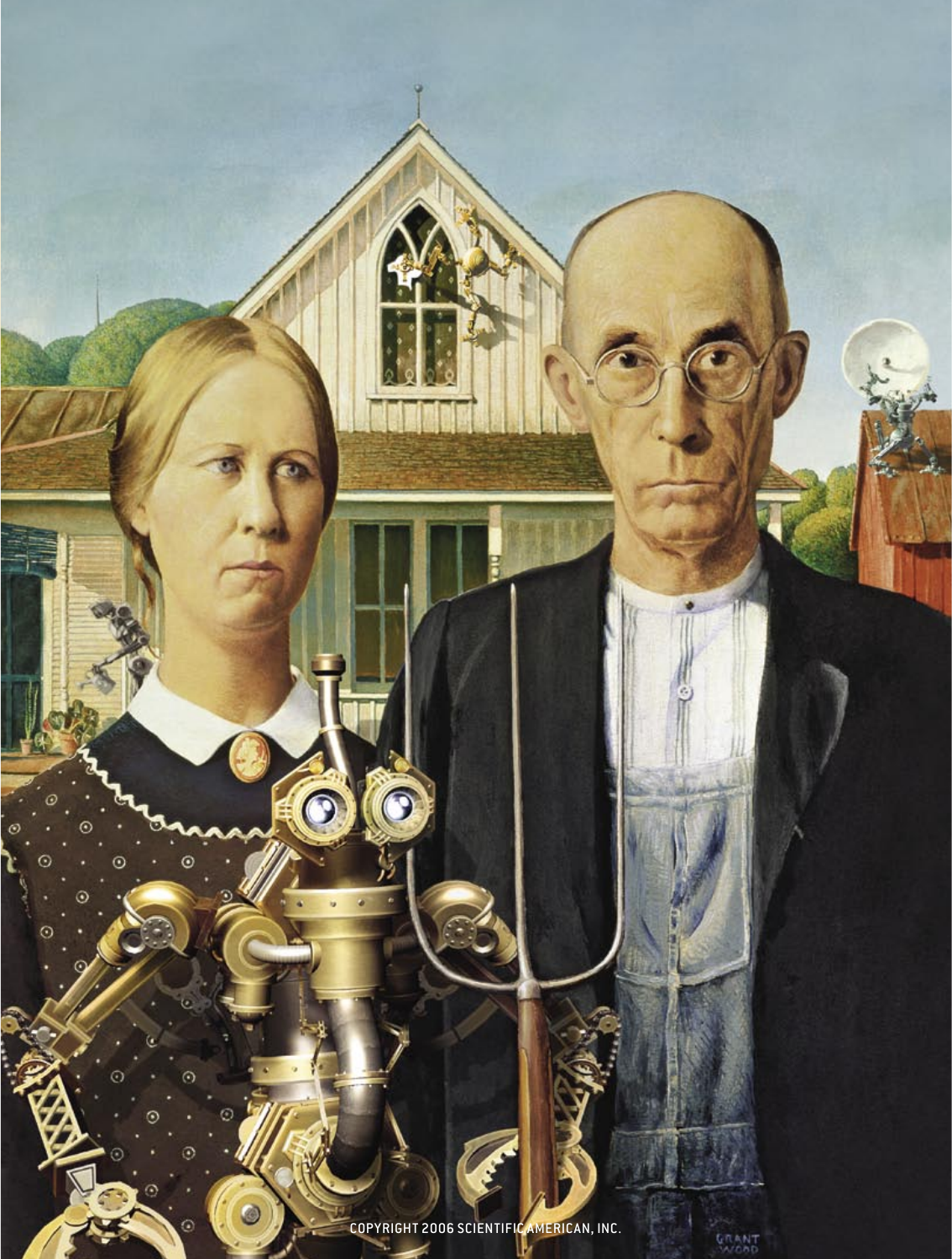COPYRIGHT 2006 SCIENTIFIC AMERICAN, INC.

 $\overline{\mathcal{O}}$ 

 $\odot$ 

Θ

O

 $\bullet$ 

G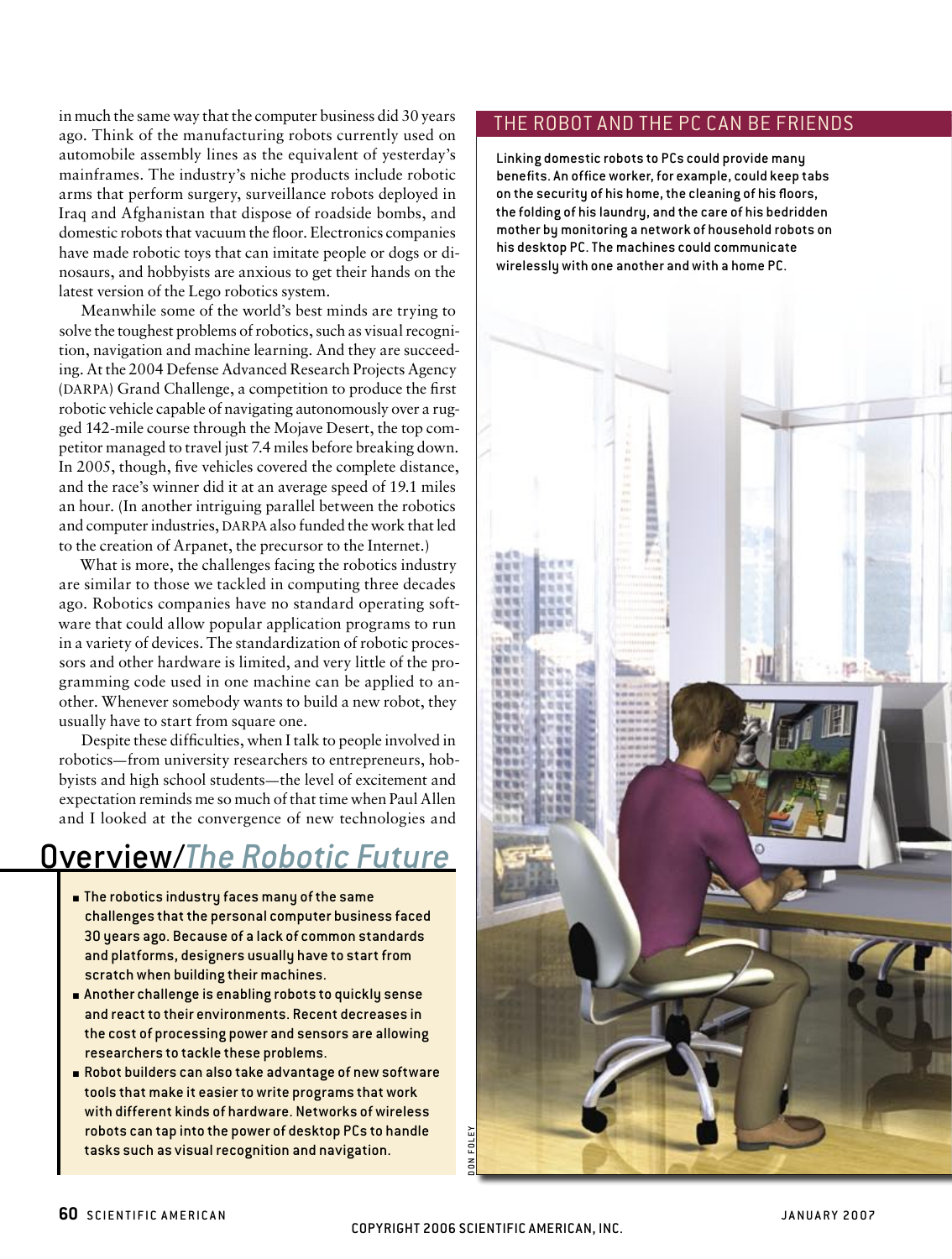in much the same way that the computer business did 30 years ago. Think of the manufacturing robots currently used on automobile assembly lines as the equivalent of yesterday's mainframes. The industry's niche products include robotic arms that perform surgery, surveillance robots deployed in Iraq and Afghanistan that dispose of roadside bombs, and domestic robots that vacuum the floor. Electronics companies have made robotic toys that can imitate people or dogs or dinosaurs, and hobbyists are anxious to get their hands on the latest version of the Lego robotics system.

Meanwhile some of the world's best minds are trying to solve the toughest problems of robotics, such as visual recognition, navigation and machine learning. And they are succeeding. At the 2004 Defense Advanced Research Projects Agency (DARPA) Grand Challenge, a competition to produce the first robotic vehicle capable of navigating autonomously over a rugged 142-mile course through the Mojave Desert, the top competitor managed to travel just 7.4 miles before breaking down. In 2005, though, five vehicles covered the complete distance, and the race's winner did it at an average speed of 19.1 miles an hour. (In another intriguing parallel between the robotics and computer industries, DARPA also funded the work that led to the creation of Arpanet, the precursor to the Internet.)

What is more, the challenges facing the robotics industry are similar to those we tackled in computing three decades ago. Robotics companies have no standard operating software that could allow popular application programs to run in a variety of devices. The standardization of robotic processors and other hardware is limited, and very little of the programming code used in one machine can be applied to another. Whenever somebody wants to build a new robot, they usually have to start from square one.

Despite these difficulties, when I talk to people involved in robotics—from university researchers to entrepreneurs, hobbyists and high school students—the level of excitement and expectation reminds me so much of that time when Paul Allen and I looked at the convergence of new technologies and

## Overview/*The Robotic Future*

- The robotics industry faces many of the same challenges that the personal computer business faced 30 years ago. Because of a lack of common standards and platforms, designers usually have to start from scratch when building their machines.
- Another challenge is enabling robots to quickly sense and react to their environments. Recent decreases in the cost of processing power and sensors are allowing researchers to tackle these problems.
- Robot builders can also take advantage of new software tools that make it easier to write programs that work with different kinds of hardware. Networks of wireless robots can tap into the power of desktop PCs to handle tasks such as visual recognition and navigation.

### THE ROBOT AND THE PC CAN BE FRIENDS

Linking domestic robots to PCs could provide many benefits. An office worker, for example, could keep tabs on the security of his home, the cleaning of his floors, the folding of his laundry, and the care of his bedridden mother by monitoring a network of household robots on his desktop PC. The machines could communicate wirelessly with one another and with a home PC.

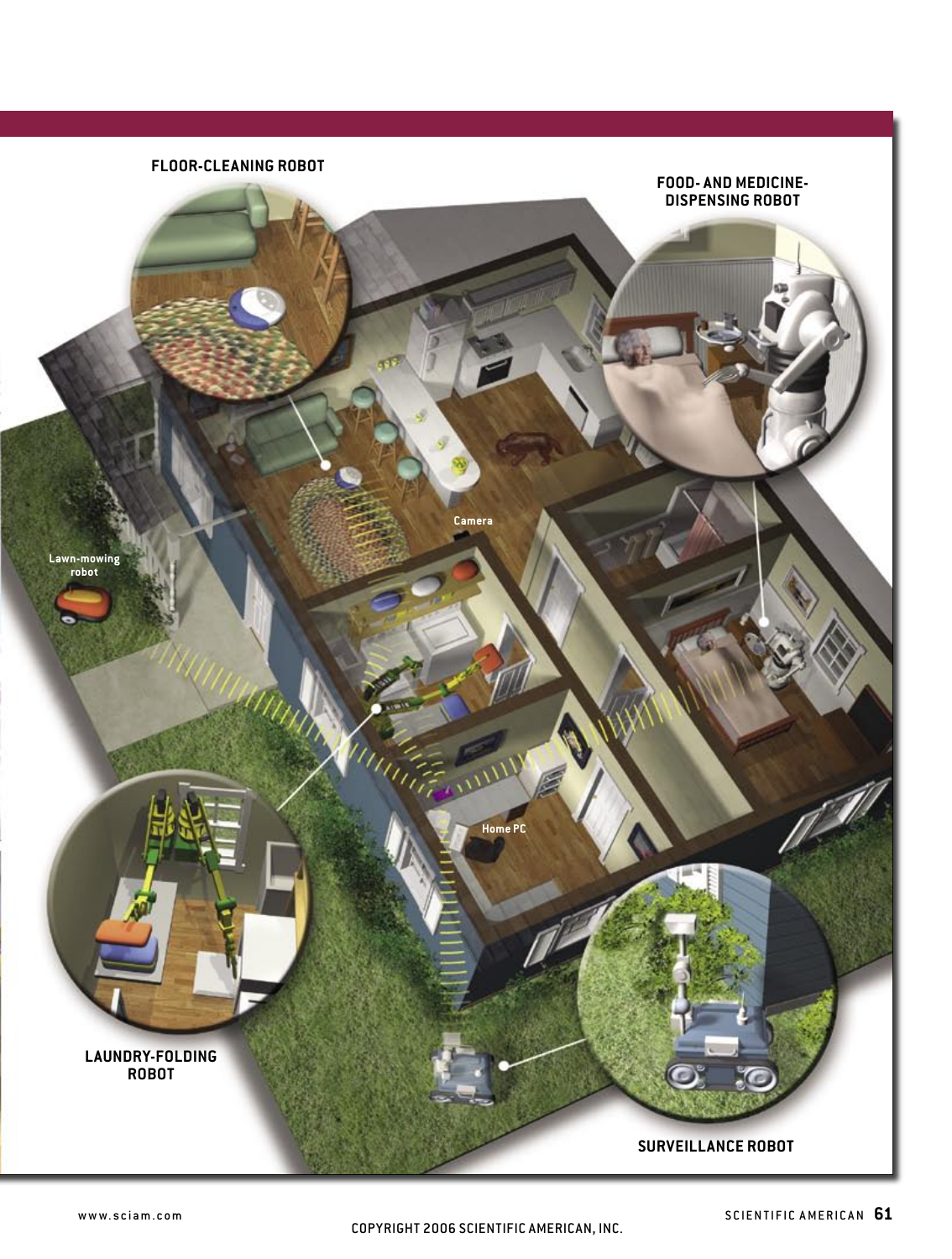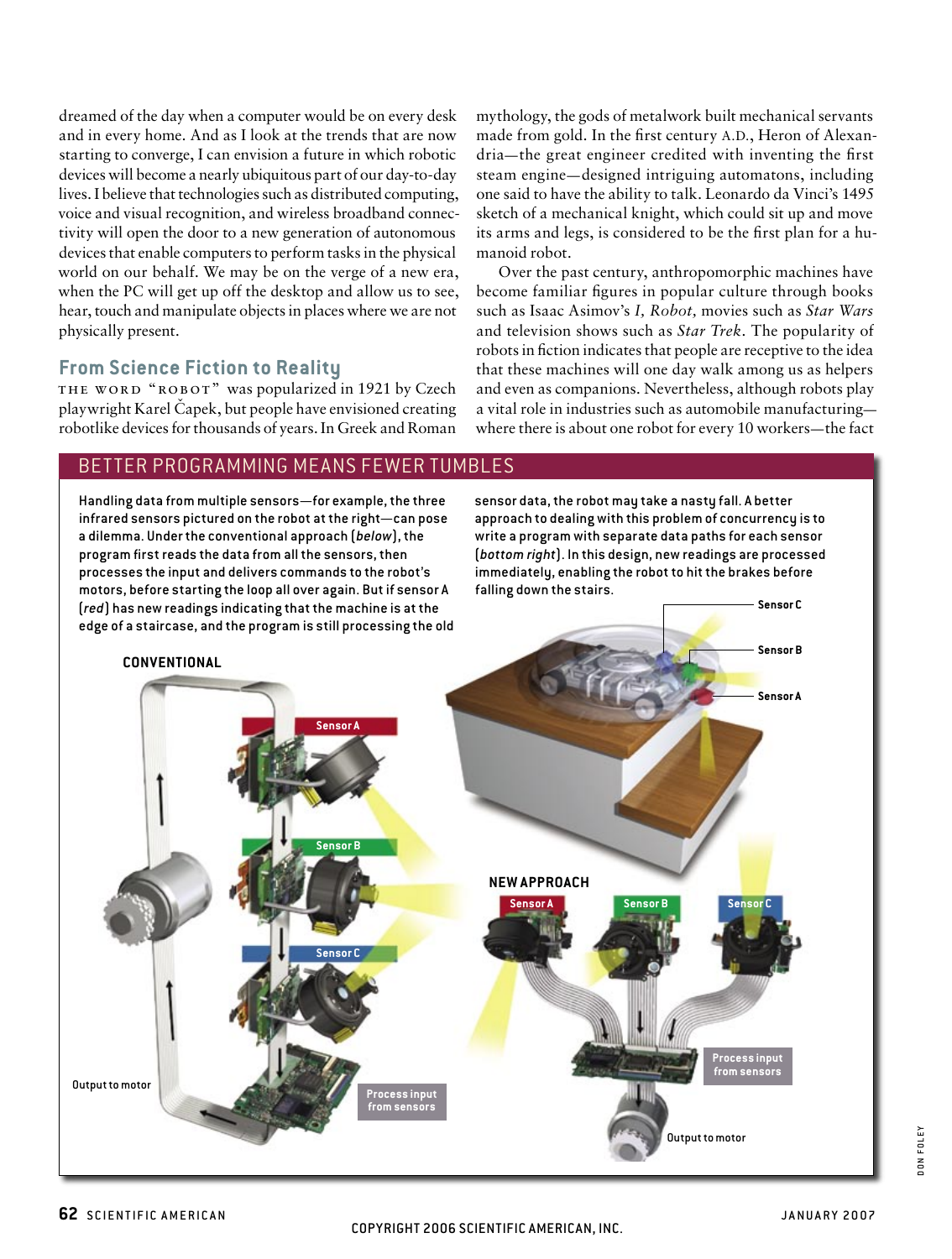dreamed of the day when a computer would be on every desk and in every home. And as I look at the trends that are now starting to converge, I can envision a future in which robotic devices will become a nearly ubiquitous part of our day-to-day lives. I believe that technologies such as distributed computing, voice and visual recognition, and wireless broadband connectivity will open the door to a new generation of autonomous devices that enable computers to perform tasks in the physical world on our behalf. We may be on the verge of a new era, when the PC will get up off the desktop and allow us to see, hear, touch and manipulate objects in places where we are not physically present.

### **From Science Fiction to Reality**

THE WORD "ROBOT" was popularized in 1921 by Czech playwright Karel Čapek, but people have envisioned creating robotlike devices for thousands of years. In Greek and Roman mythology, the gods of metalwork built mechanical servants made from gold. In the first century A.D., Heron of Alexandria—the great engineer credited with inventing the first steam engine—designed intriguing automatons, including one said to have the ability to talk. Leonardo da Vinci's 1495 sketch of a mechanical knight, which could sit up and move its arms and legs, is considered to be the first plan for a humanoid robot.

Over the past century, anthropomorphic machines have become familiar figures in popular culture through books such as Isaac Asimov's *I, Robot,* movies such as *Star Wars* and television shows such as *Star Trek.* The popularity of robots in fiction indicates that people are receptive to the idea that these machines will one day walk among us as helpers and even as companions. Nevertheless, although robots play a vital role in industries such as automobile manufacturing where there is about one robot for every 10 workers—the fact

### BETTER PROGRAMMING MEANS FEWER TUMBLES

Handling data from multiple sensors—for example, the three infrared sensors pictured on the robot at the right—can pose a dilemma. Under the conventional approach (*below*), the program first reads the data from all the sensors, then processes the input and delivers commands to the robot's motors, before starting the loop all over again. But if sensor A (*red*) has new readings indicating that the machine is at the

sensor data, the robot may take a nasty fall. A better approach to dealing with this problem of concurrency is to write a program with separate data paths for each sensor (*bottom right*). In this design, new readings are processed immediately, enabling the robot to hit the brakes before falling down the stairs.

**Sensor C**

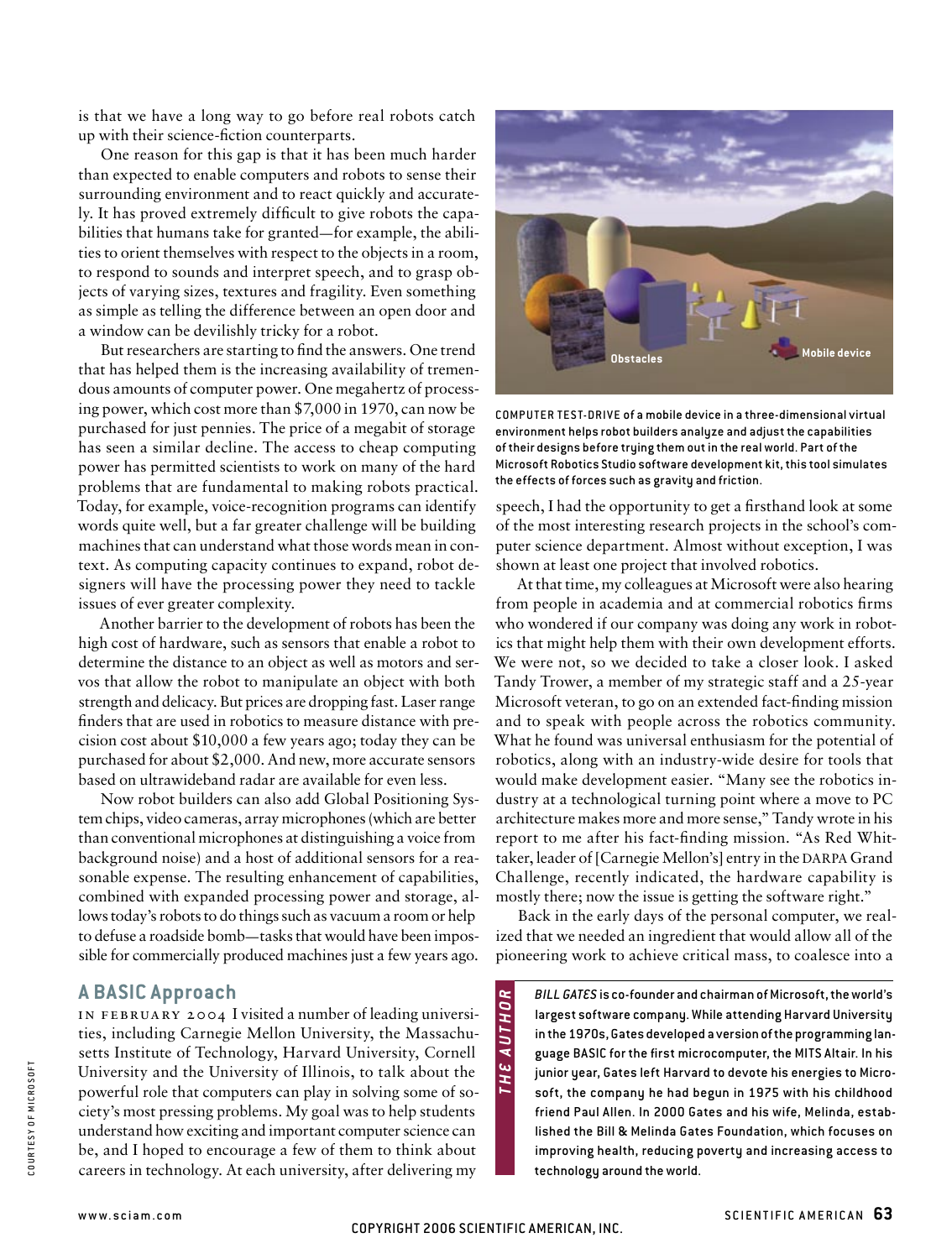is that we have a long way to go before real robots catch up with their science-fiction counterparts.

One reason for this gap is that it has been much harder than expected to enable computers and robots to sense their surrounding environment and to react quickly and accurately. It has proved extremely difficult to give robots the capabilities that humans take for granted—for example, the abilities to orient themselves with respect to the objects in a room, to respond to sounds and interpret speech, and to grasp objects of varying sizes, textures and fragility. Even something as simple as telling the difference between an open door and a window can be devilishly tricky for a robot.

But researchers are starting to find the answers. One trend that has helped them is the increasing availability of tremendous amounts of computer power. One megahertz of processing power, which cost more than \$7,000 in 1970, can now be purchased for just pennies. The price of a megabit of storage has seen a similar decline. The access to cheap computing power has permitted scientists to work on many of the hard problems that are fundamental to making robots practical. Today, for example, voice-recognition programs can identify words quite well, but a far greater challenge will be building machines that can understand what those words mean in context. As computing capacity continues to expand, robot designers will have the processing power they need to tackle issues of ever greater complexity.

Another barrier to the development of robots has been the high cost of hardware, such as sensors that enable a robot to determine the distance to an object as well as motors and servos that allow the robot to manipulate an object with both strength and delicacy. But prices are dropping fast. Laser range finders that are used in robotics to measure distance with precision cost about \$10,000 a few years ago; today they can be purchased for about \$2,000. And new, more accurate sensors based on ultrawideband radar are available for even less.

Now robot builders can also add Global Positioning System chips, video cameras, array microphones (which are better than conventional microphones at distinguishing a voice from background noise) and a host of additional sensors for a reasonable expense. The resulting enhancement of capabilities, combined with expanded processing power and storage, allows today's robots to do things such as vacuum a room or help to defuse a roadside bomb—tasks that would have been impossible for commercially produced machines just a few years ago.

### **A BASIC Approach**

in februa ry 2004 I visited a number of leading universities, including Carnegie Mellon University, the Massachusetts Institute of Technology, Harvard University, Cornell University and the University of Illinois, to talk about the powerful role that computers can play in solving some of society's most pressing problems. My goal was to help students understand how exciting and important computer science can be, and I hoped to encourage a few of them to think about careers in technology. At each university, after delivering my



COMPUTER TEST-DRIVE of a mobile device in a three-dimensional virtual environment helps robot builders analyze and adjust the capabilities of their designs before trying them out in the real world. Part of the Microsoft Robotics Studio software development kit, this tool simulates the effects of forces such as gravity and friction.

speech, I had the opportunity to get a firsthand look at some of the most interesting research projects in the school's computer science department. Almost without exception, I was shown at least one project that involved robotics.

At that time, my colleagues at Microsoft were also hearing from people in academia and at commercial robotics firms who wondered if our company was doing any work in robotics that might help them with their own development efforts. We were not, so we decided to take a closer look. I asked Tandy Trower, a member of my strategic staff and a 25-year Microsoft veteran, to go on an extended fact-finding mission and to speak with people across the robotics community. What he found was universal enthusiasm for the potential of robotics, along with an industry-wide desire for tools that would make development easier. "Many see the robotics industry at a technological turning point where a move to PC architecture makes more and more sense," Tandy wrote in his report to me after his fact-finding mission. "As Red Whittaker, leader of [Carnegie Mellon's] entry in the DARPA Grand Challenge, recently indicated, the hardware capability is mostly there; now the issue is getting the software right."

Back in the early days of the personal computer, we realized that we needed an ingredient that would allow all of the pioneering work to achieve critical mass, to coalesce into a

*BILL GATES* is co-founder and chairman of Microsoft, the world's largest software company. While attending Harvard University in the 1970s, Gates developed a version of the programming language BASIC for the first microcomputer, the MITS Altair. In his junior year, Gates left Harvard to devote his energies to Microsoft, the company he had begun in 1975 with his childhood friend Paul Allen. In 2000 Gates and his wife, Melinda, established the Bill & Melinda Gates Foundation, which focuses on improving health, reducing poverty and increasing access to technology around the world.

*T H E A U T H O R*

THE,

AUTHOR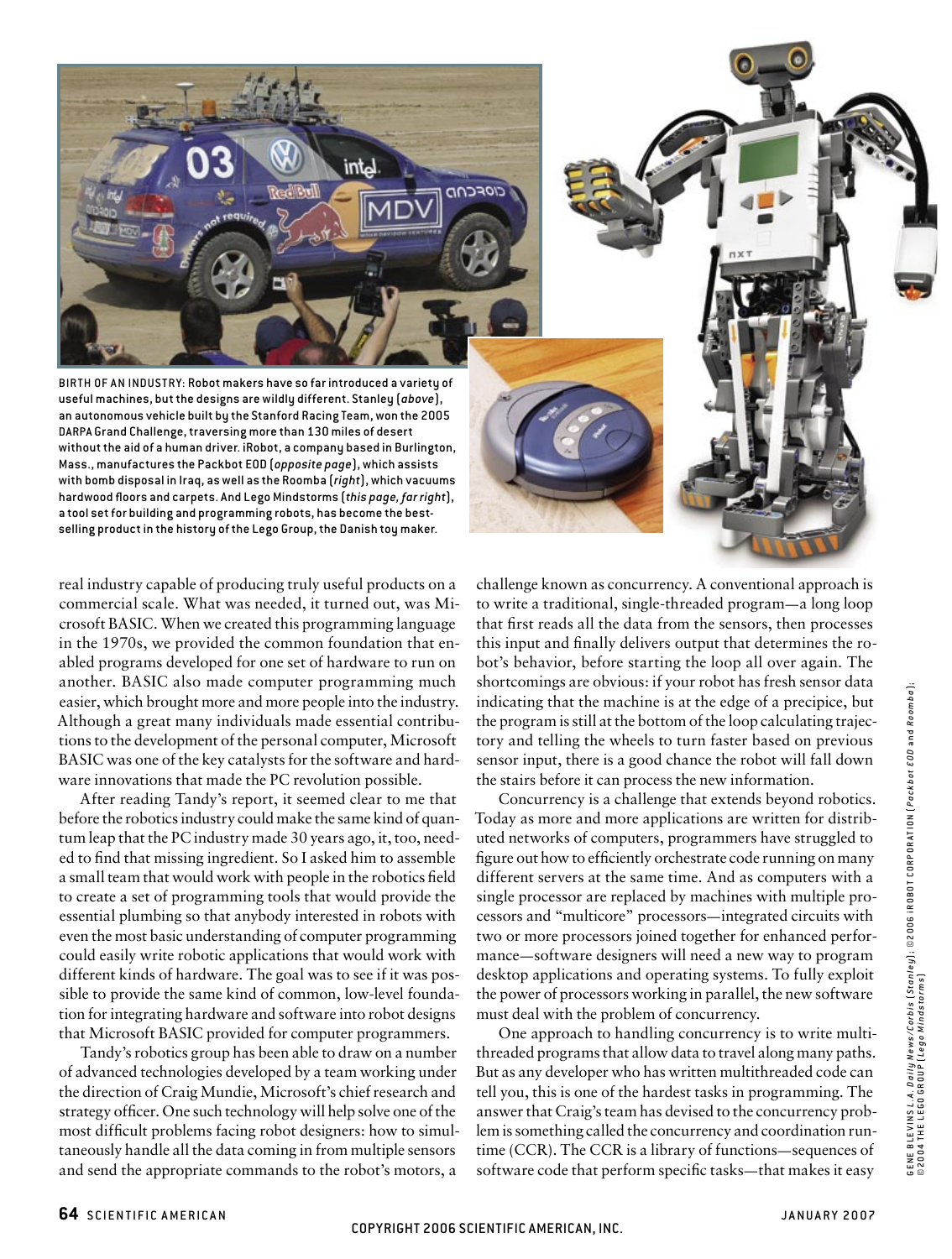

intal

*מסדכח*ם

real industry capable of producing truly useful products on a commercial scale. What was needed, it turned out, was Microsoft BASIC. When we created this programming language in the 1970s, we provided the common foundation that enabled programs developed for one set of hardware to run on another. BASIC also made computer programming much easier, which brought more and more people into the industry. Although a great many individuals made essential contributions to the development of the personal computer, Microsoft BASIC was one of the key catalysts for the software and hardware innovations that made the PC revolution possible.

After reading Tandy's report, it seemed clear to me that before the robotics industry could make the same kind of quantum leap that the PC industry made 30 years ago, it, too, needed to find that missing ingredient. So I asked him to assemble a small team that would work with people in the robotics field to create a set of programming tools that would provide the essential plumbing so that anybody interested in robots with even the most basic understanding of computer programming could easily write robotic applications that would work with different kinds of hardware. The goal was to see if it was possible to provide the same kind of common, low-level foundation for integrating hardware and software into robot designs that Microsoft BASIC provided for computer programmers.

Tandy's robotics group has been able to draw on a number of advanced technologies developed by a team working under the direction of Craig Mundie, Microsoft's chief research and strategy officer. One such technology will help solve one of the most difficult problems facing robot designers: how to simultaneously handle all the data coming in from multiple sensors and send the appropriate commands to the robot's motors, a

challenge known as concurrency. A conventional approach is to write a traditional, single-threaded program—a long loop that first reads all the data from the sensors, then processes this input and finally delivers output that determines the robot's behavior, before starting the loop all over again. The shortcomings are obvious: if your robot has fresh sensor data indicating that the machine is at the edge of a precipice, but the program is still at the bottom of the loop calculating trajectory and telling the wheels to turn faster based on previous sensor input, there is a good chance the robot will fall down the stairs before it can process the new information.

Concurrency is a challenge that extends beyond robotics. Today as more and more applications are written for distributed networks of computers, programmers have struggled to figure out how to efficiently orchestrate code running on many different servers at the same time. And as computers with a single processor are replaced by machines with multiple processors and "multicore" processors—integrated circuits with two or more processors joined together for enhanced performance—software designers will need a new way to program desktop applications and operating systems. To fully exploit the power of processors working in parallel, the new software must deal with the problem of concurrency.

One approach to handling concurrency is to write multithreaded programs that allow data to travel along many paths. But as any developer who has written multithreaded code can tell you, this is one of the hardest tasks in programming. The answer that Craig's team has devised to the concurrency problem is something called the concurrency and coordination runtime (CCR). The CCR is a library of functions—sequences of software code that perform specific tasks—that makes it easy